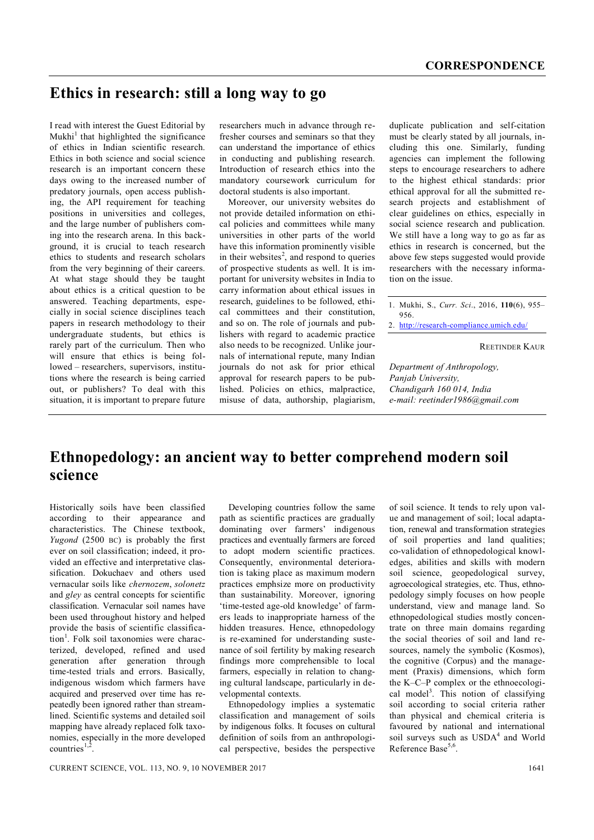## **Ethics in research: still a long way to go**

I read with interest the Guest Editorial by Mukhi<sup>1</sup> that highlighted the significance of ethics in Indian scientific research. Ethics in both science and social science research is an important concern these days owing to the increased number of predatory journals, open access publishing, the API requirement for teaching positions in universities and colleges, and the large number of publishers coming into the research arena. In this background, it is crucial to teach research ethics to students and research scholars from the very beginning of their careers. At what stage should they be taught about ethics is a critical question to be answered. Teaching departments, especially in social science disciplines teach papers in research methodology to their undergraduate students, but ethics is rarely part of the curriculum. Then who will ensure that ethics is being followed – researchers, supervisors, institutions where the research is being carried out, or publishers? To deal with this situation, it is important to prepare future

researchers much in advance through refresher courses and seminars so that they can understand the importance of ethics in conducting and publishing research. Introduction of research ethics into the mandatory coursework curriculum for doctoral students is also important.

Moreover, our university websites do not provide detailed information on ethical policies and committees while many universities in other parts of the world have this information prominently visible in their websites<sup>2</sup>, and respond to queries of prospective students as well. It is important for university websites in India to carry information about ethical issues in research, guidelines to be followed, ethical committees and their constitution, and so on. The role of journals and publishers with regard to academic practice also needs to be recognized. Unlike journals of international repute, many Indian journals do not ask for prior ethical approval for research papers to be published. Policies on ethics, malpractice, misuse of data, authorship, plagiarism,

duplicate publication and self-citation must be clearly stated by all journals, including this one. Similarly, funding agencies can implement the following steps to encourage researchers to adhere to the highest ethical standards: prior ethical approval for all the submitted research projects and establishment of clear guidelines on ethics, especially in social science research and publication. We still have a long way to go as far as ethics in research is concerned, but the above few steps suggested would provide researchers with the necessary information on the issue.

REETINDER KAUR

*Department of Anthropology, Panjab University, Chandigarh 160 014, India e-mail: reetinder1986@gmail.com*

## **Ethnopedology: an ancient way to better comprehend modern soil science**

Historically soils have been classified according to their appearance and characteristics. The Chinese textbook, *Yugond* (2500 BC) is probably the first ever on soil classification; indeed, it provided an effective and interpretative classification. Dokuchaev and others used vernacular soils like *chernozem*, *solonetz* and *gley* as central concepts for scientific classification. Vernacular soil names have been used throughout history and helped provide the basis of scientific classification<sup>1</sup>. Folk soil taxonomies were characterized, developed, refined and used generation after generation through time-tested trials and errors. Basically, indigenous wisdom which farmers have acquired and preserved over time has repeatedly been ignored rather than streamlined. Scientific systems and detailed soil mapping have already replaced folk taxonomies, especially in the more developed  $countries$ <sup>1,2</sup> .

Developing countries follow the same path as scientific practices are gradually dominating over farmers' indigenous practices and eventually farmers are forced to adopt modern scientific practices. Consequently, environmental deterioration is taking place as maximum modern practices emphsize more on productivity than sustainability. Moreover, ignoring 'time-tested age-old knowledge' of farmers leads to inappropriate harness of the hidden treasures. Hence, ethnopedology is re-examined for understanding sustenance of soil fertility by making research findings more comprehensible to local farmers, especially in relation to changing cultural landscape, particularly in developmental contexts.

Ethnopedology implies a systematic classification and management of soils by indigenous folks. It focuses on cultural definition of soils from an anthropological perspective, besides the perspective of soil science. It tends to rely upon value and management of soil; local adaptation, renewal and transformation strategies of soil properties and land qualities; co-validation of ethnopedological knowledges, abilities and skills with modern soil science, geopedological survey, agroecological strategies, etc. Thus, ethnopedology simply focuses on how people understand, view and manage land. So ethnopedological studies mostly concentrate on three main domains regarding the social theories of soil and land resources, namely the symbolic (Kosmos), the cognitive (Corpus) and the management (Praxis) dimensions, which form the K–C–P complex or the ethnoecological model<sup>3</sup>. This notion of classifying soil according to social criteria rather than physical and chemical criteria is favoured by national and international soil surveys such as USDA<sup>4</sup> and World Reference Base<sup>5,6</sup>.

<sup>1.</sup> Mukhi, S., *Curr. Sci*., 2016, **110**(6), 955– 956.

<sup>2.</sup> http://research-compliance.umich.edu/